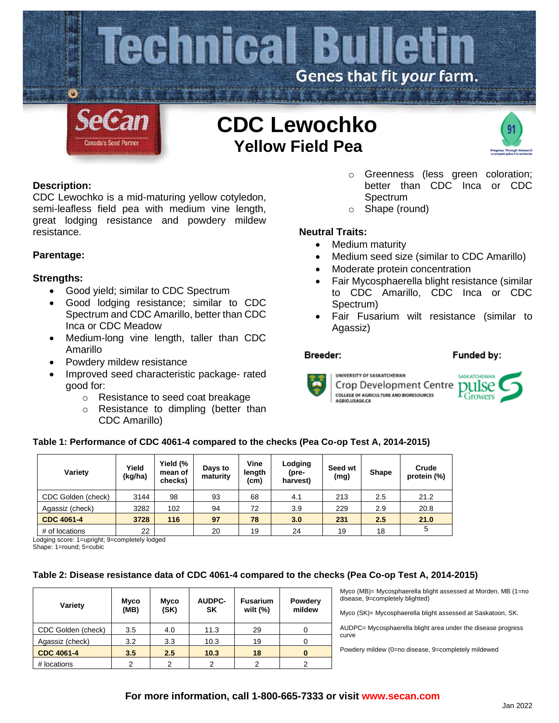

# **CDC Lewochko Yellow Field Pea**



# **Description:**

CDC Lewochko is a mid-maturing yellow cotyledon, semi-leafless field pea with medium vine length, great lodging resistance and powdery mildew resistance.

# **Parentage:**

## **Strengths:**

- Good yield; similar to CDC Spectrum
- Good lodging resistance; similar to CDC Spectrum and CDC Amarillo, better than CDC Inca or CDC Meadow
- Medium-long vine length, taller than CDC Amarillo
- Powdery mildew resistance
- Improved seed characteristic package- rated good for:
	- o Resistance to seed coat breakage
	- o Resistance to dimpling (better than CDC Amarillo)
- o Greenness (less green coloration; better than CDC Inca or CDC **Spectrum**
- o Shape (round)

# **Neutral Traits:**

- Medium maturity
- Medium seed size (similar to CDC Amarillo)
- Moderate protein concentration
- Fair Mycosphaerella blight resistance (similar to CDC Amarillo, CDC Inca or CDC Spectrum)
- Fair Fusarium wilt resistance (similar to Agassiz)

#### Breeder:

#### Funded by:



**UNIVERSITY OF SASKATCHEWAN** Crop Development Centre COLLEGE OF AGRICULTURE AND BIORESOURCES<br>AGBIO.USASK.CA



## **Table 1: Performance of CDC 4061-4 compared to the checks (Pea Co-op Test A, 2014-2015)**

| Variety            | Yield<br>(kg/ha) | Yield (%<br>mean of<br>checks) | Days to<br>maturity | Vine<br>length<br>(cm) | Lodging<br>(pre-<br>harvest) | Seed wt<br>(mg) | Shape | Crude<br>protein (%) |
|--------------------|------------------|--------------------------------|---------------------|------------------------|------------------------------|-----------------|-------|----------------------|
| CDC Golden (check) | 3144             | 98                             | 93                  | 68                     | 4.1                          | 213             | 2.5   | 21.2                 |
| Agassiz (check)    | 3282             | 102                            | 94                  | 72                     | 3.9                          | 229             | 2.9   | 20.8                 |
| <b>CDC 4061-4</b>  | 3728             | 116                            | 97                  | 78                     | 3.0                          | 231             | 2.5   | 21.0                 |
| # of locations     | 22               |                                | 20                  | 19                     | 24                           | 19              | 18    | 5                    |

Lodging score: 1=upright; 9=completely lodged

Shape: 1=round; 5=cubic

## **Table 2: Disease resistance data of CDC 4061-4 compared to the checks (Pea Co-op Test A, 2014-2015)**

| Variety            | Myco<br>(MB) | <b>Myco</b><br>(SK) | <b>AUDPC-</b><br><b>SK</b> | <b>Fusarium</b><br>wilt $(\%)$ | Powdery<br>mildew |
|--------------------|--------------|---------------------|----------------------------|--------------------------------|-------------------|
| CDC Golden (check) | 3.5          | 4.0                 | 11.3                       | 29                             |                   |
| Agassiz (check)    | 3.2          | 3.3                 | 10.3                       | 19                             |                   |
| <b>CDC 4061-4</b>  | 3.5          | 2.5                 | 10.3                       | 18                             |                   |
| # locations        | 2            | 2                   | 2                          | っ                              |                   |

Myco (MB)= Mycosphaerella blight assessed at Morden, MB (1=no disease, 9=completely blighted)

Myco (SK)= Mycosphaerella blight assessed at Saskatoon, SK.

AUDPC= Mycosphaerella blight area under the disease progress curve

Powdery mildew (0=no disease, 9=completely mildewed